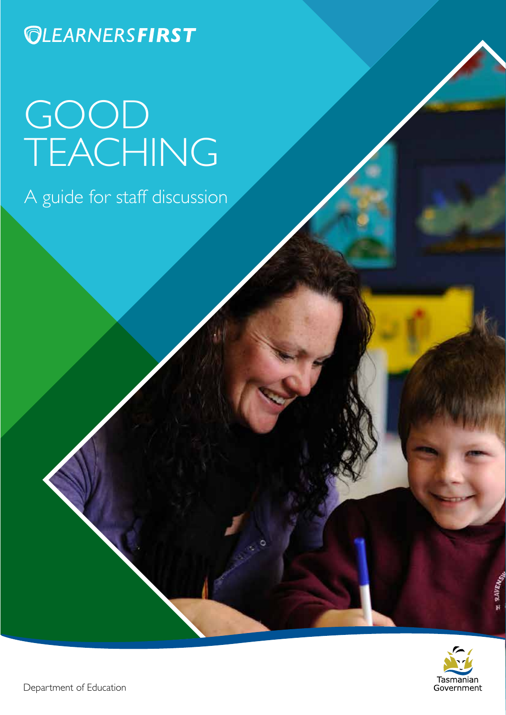## **QLEARNERSFIRST**

# GOOD TEACHING

A guide for staff discussion

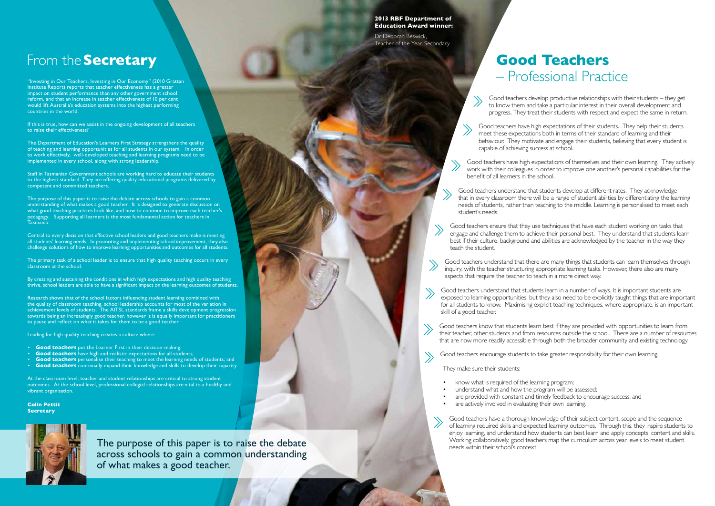Good teachers develop productive relationships with their students – they get to know them and take a particular interest in their overall development and progress. They treat their students with respect and expect the same in return.

Good teachers have high expectations of their students. They help their students meet these expectations both in terms of their standard of learning and their behaviour. They motivate and engage their students, believing that every student is

are provided with constant and timely feedback to encourage success; and

capable of achieving success at school.

Good teachers have high expectations of themselves and their own learning. They actively work with their colleagues in order to improve one another's personal capabilities for the benefit of all learners in the school.

Good teachers understand that students develop at different rates. They acknowledge that in every classroom there will be a range of student abilities by differentiating the learning needs of students, rather than teaching to the middle. Learning is personalised to meet each student's needs.

Good teachers ensure that they use techniques that have each student working on tasks that engage and challenge them to achieve their personal best. They understand that students learn best if their culture, background and abilities are acknowledged by the teacher in the way they teach the student.

Good teachers understand that there are many things that students can learn themselves through inquiry, with the teacher structuring appropriate learning tasks. However, there also are many aspects that require the teacher to teach in a more direct way.

Good teachers understand that students learn in a number of ways. It is important students are exposed to learning opportunities, but they also need to be explicitly taught things that are important for all students to know. Maximising explicit teaching techniques, where appropriate, is an important skill of a good teacher.

The Department of Education's Learners First Strategy strengthens the quality of teaching and learning opportunities for all students in our system. In order to work effectively, well-developed teaching and learning programs need to be implemented in every school, along with strong leadership.

The purpose of this paper is to raise the debate across schools to gain a common understanding of what makes a good teacher. It is designed to generate discussion on what good teaching practices look like, and how to continue to improve each teacher's pedagogy. Supporting all learners is the most fundamental action for teachers in .<br>Tasmania.

> Good teachers know that students learn best if they are provided with opportunities to learn from their teacher, other students and from resources outside the school. There are a number of resources that are now more readily accessible through both the broader community and existing technology.

Good teachers encourage students to take greater responsibility for their own learning.

They make sure their students:

- know what is required of the learning program;
- understand what and how the program will be assessed;
- 
- are actively involved in evaluating their own learning.

The primary task of a school leader is to ensure that high quality teaching occurs in every classroom at the school.

By creating and sustaining the conditions in which high expectations and high quality teaching thrive, school leaders are able to have a significant impact on the learning outcomes of students.

> Good teachers have a thorough knowledge of their subject content, scope and the sequence of learning required skills and expected learning outcomes. Through this, they inspire students to enjoy learning, and understand how students can best learn and apply concepts, content and skills. Working collaboratively, good teachers map the curriculum across year levels to meet student needs within their school's context.

# **Good Teachers**  – Professional Practice

### From the **Secretary**

"Investing in Our Teachers, Investing in Our Economy" (2010 Grattan Institute Report) reports that teacher effectiveness has a greater impact on student performance than any other government school reform, and that an increase in teacher effectiveness of 10 per cent would lift Australia's education systems into the highest performing countries in the world.

If this is true, how can we assist in the ongoing development of all teachers to raise their effectiveness?

Staff in Tasmanian Government schools are working hard to educate their students to the highest standard. They are offering quality educational programs delivered by competent and committed teachers.

Central to every decision that effective school leaders and good teachers make is meeting all students' learning needs. In promoting and implementing school improvement, they also challenge solutions of how to improve learning opportunities and outcomes for all students.

Research shows that of the school factors influencing student learning combined with the quality of classroom teaching, school leadership accounts for most of the variation in achievement levels of students. The AITSL standards frame a skills development progression towards being an increasingly good teacher, however it is equally important for practitioners to pause and reflect on what it takes for them to be a good teacher.

Leading for high quality teaching creates a culture where:

- **Good teachers** put the Learner First in their decision-making;
- **Good teachers** have high and realistic expectations for all students;
- **Good teachers** personalise their teaching to meet the learning needs of students; and
- **Good teachers** continually expand their knowledge and skills to develop their capacity.

At the classroom level, teacher and student relationships are critical to strong student outcomes. At the school level, professional collegial relationships are vital to a healthy and vibrant organisation.

**Colin Pettit Secretary**



The purpose of this paper is to raise the debate across schools to gain a common understanding of what makes a good teacher.

#### **2013 RBF Department of Education Award winner:**

Dr Deborah Beswick, Teacher of the Year, Secondary